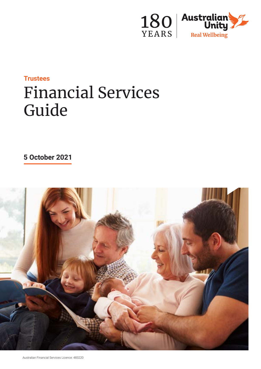

# **Trustees** Financial Services Guide

**5 October 2021**

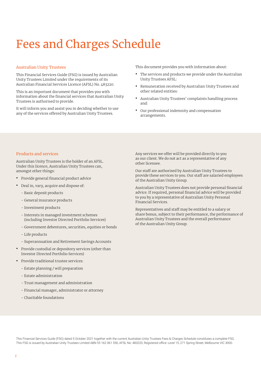## Fees and Charges Schedule

## Australian Unity Trustees

This Financial Services Guide (FSG) is issued by Australian Unity Trustees Limited under the requirements of its Australian Financial Services Licence (AFSL) No. 483220.

This is an important document that provides you with information about the financial services that Australian Unity Trustees is authorised to provide.

It will inform you and assist you in deciding whether to use any of the services offered by Australian Unity Trustees.

This document provides you with information about:

- **•** The services and products we provide under the Australian Unity Trustees AFSL:
- **•** Remuneration received by Australian Unity Trustees and other related entities:
- **•** Australian Unity Trustees' complaints handling process and:
- **•** Our professional indemnity and compensation arrangements.

## Products and services

Australian Unity Trustees is the holder of an AFSL. Under this licence, Australian Unity Trustees can, amongst other things:

- **•** Provide general financial product advice
- **•** Deal in, vary, acquire and dispose of:
	- Basic deposit products
	- General insurance products
	- Investment products
	- Interests in managed investment schemes (including Investor Directed Portfolio Services)
	- Government debentures, securities, equities or bonds
	- Life products
	- Superannuation and Retirement Savings Accounts
- **•** Provide custodial or depository services (other than Investor Directed Portfolio Services)
- **•** Provide traditional trustee services:
	- Estate planning / will preparation
	- Estate administration
	- Trust management and administration
	- Financial manager, administrator or attorney
	- Charitable foundations

Any services we offer will be provided directly to you as our client. We do not act as a representative of any other licensee.

Our staff are authorised by Australian Unity Trustees to provide these services to you. Our staff are salaried employees of the Australian Unity Group.

Australian Unity Trustees does not provide personal financial advice. If required, personal financial advice will be provided to you by a representative of Australian Unity Personal Financial Services.

Representatives and staff may be entitled to a salary or share bonus, subject to their performance, the performance of Australian Unity Trustees and the overall performance of the Australian Unity Group.

This Financial Services Guide (FSG) dated 5 October 2021 together with the current Australian Unity Trustees Fees & Charges Schedule constitutes a complete FSG. This FSG is issued by Australian Unity Trustees Limited ABN 55 162 061 556, AFSL No: 483220, Registered office: Level 15, 271 Spring Street, Melbourne VIC 3000.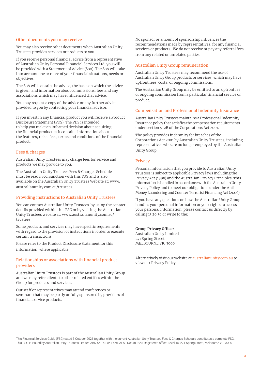#### Other documents you may receive

You may also receive other documents when Australian Unity Trustees provides services or products to you.

If you receive personal financial advice from a representative of Australian Unity Personal Financial Services Ltd, you will be provided with a Statement of Advice (SoA). The SoA will take into account one or more of your financial situations, needs or objectives.

The SoA will contain the advice, the basis on which the advice is given, and information about commissions, fees and any associations which may have influenced that advice.

You may request a copy of the advice or any further advice provided to you by contacting your financial advisor.

If you invest in any financial product you will receive a Product Disclosure Statement (PDS). The PDS is intended to help you make an informed decision about acquiring the financial product as it contains information about the features, risks, fees, terms and conditions of the financial product.

#### Fees & charges

Australian Unity Trustees may charge fees for service and products we may provide to you.

The Australian Unity Trustees Fees & Charges Schedule must be read in conjunction with this FSG and is also available on the Australian Unity Trustees Website at: www. australianunity.com.au/trustees

## Providing instructions to Australian Unity Trustees

You can contact Australian Unity Trustees by using the contact details provided within this FSG or by visiting the Australian Unity Trustees website at: www.australianunity.com.au/ trustees

Some products and services may have specific requirements with regard to the provision of instructions in order to execute certain transactions.

Please refer to the Product Disclosure Statement for this information, where applicable.

## Relationships or associations with financial product providers

Australian Unity Trustees is part of the Australian Unity Group and we may refer clients to other related entities within the Group for products and services.

Our staff or representatives may attend conferences or seminars that may be partly or fully sponsored by providers of financial service products.

No sponsor or amount of sponsorship influences the recommendations made by representatives, for any financial services or products. We do not receive or pay any referral fees from any related or unrelated parties.

#### Australian Unity Group remuneration

Australian Unity Trustees may recommend the use of Australian Unity Group products or services, which may have upfront fees, costs, or ongoing commissions.

The Australian Unity Group may be entitled to an upfront fee or ongoing commission from a particular financial service or product.

#### Compensation and Professional Indemnity Insurance

Australian Unity Trustees maintains a Professional Indemnity Insurance policy that satisfies the compensation requirements under section 912B of the Corporations Act 2001.

The policy provides indemnity for breaches of the Corporations Act 2001 by Australian Unity Trustees, including representatives who are no longer employed by the Australian Unity Group.

#### Privacy

Personal information that you provide to Australian Unity Trustees is subject to applicable Privacy laws including the Privacy Act (1998) and the Australian Privacy Principles. This information is handled in accordance with the Australian Unity Privacy Policy and to meet our obligations under the Anti-Money Laundering and Counter Terrorist Financing Act (2006).

If you have any questions on how the Australian Unity Group handles your personal information or your rights to access your personal information, please contact us directly by calling 13 29 39 or write to the:

#### **Group Privacy Officer**

Australian Unity Limited 271 Spring Street MELBOURNE VIC 3000

Alternatively visit our website at australianunity.com.au to view our Privacy Policy.

This Financial Services Guide (FSG) dated 5 October 2021 together with the current Australian Unity Trustees Fees & Charges Schedule constitutes a complete FSG. This FSG is issued by Australian Unity Trustees Limited ABN 55 162 061 556, AFSL No: 483220, Registered office: Level 15, 271 Spring Street, Melbourne VIC 3000.